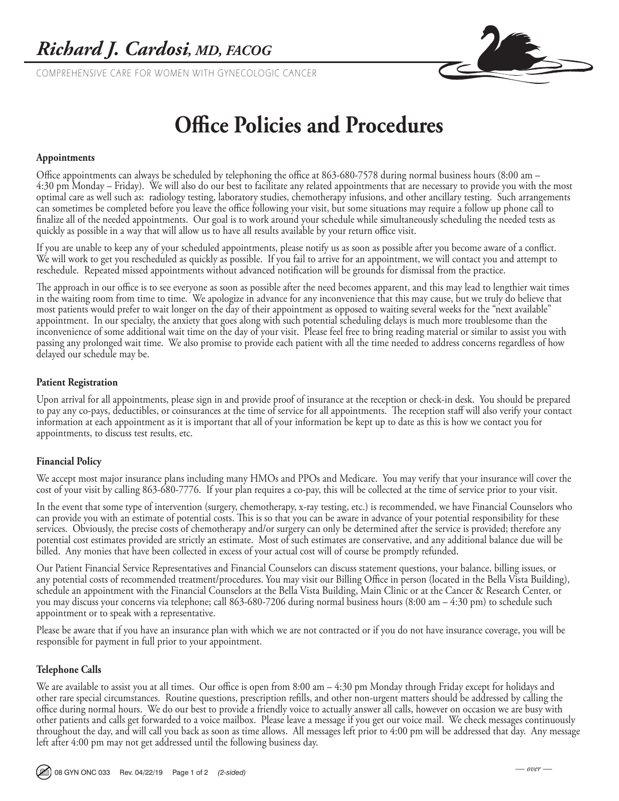COMPREHENSIVE CARE FOR WOMEN WITH GYNECOLOGIC CANCER



# **Office Policies and Procedures**

### **Appointments**

Office appointments can always be scheduled by telephoning the office at 863-680-7578 during normal business hours (8:00 am – 4:30 pm Monday – Friday). We will also do our best to facilitate any related appointments that are necessary to provide you with the most optimal care as well such as: radiology testing, laboratory studies, chemotherapy infusions, and other ancillary testing. Such arrangements can sometimes be completed before you leave the office following your visit, but some situations may require a follow up phone call to finalize all of the needed appointments. Our goal is to work around your schedule while simultaneously scheduling the needed tests as quickly as possible in a way that will allow us to have all results available by your return office visit.

If you are unable to keep any of your scheduled appointments, please notify us as soon as possible after you become aware of a conflict. We will work to get you rescheduled as quickly as possible. If you fail to arrive for an appointment, we will contact you and attempt to reschedule. Repeated missed appointments without advanced notification will be grounds for dismissal from the practice.

The approach in our office is to see everyone as soon as possible after the need becomes apparent, and this may lead to lengthier wait times in the waiting room from time to time. We apologize in advance for any inconvenience that this may cause, but we truly do believe that most patients would prefer to wait longer on the day of their appointment as opposed to waiting several weeks for the "next available" appointment. In our specialty, the anxiety that goes along with such potential scheduling delays is much more troublesome than the inconvenience of some additional wait time on the day of your visit. Please feel free to bring reading material or similar to assist you with passing any prolonged wait time. We also promise to provide each patient with all the time needed to address concerns regardless of how delayed our schedule may be.

#### **Patient Registration**

Upon arrival for all appointments, please sign in and provide proof of insurance at the reception or check-in desk. You should be prepared to pay any co-pays, deductibles, or coinsurances at the time of service for all appointments. The reception staff will also verify your contact information at each appointment as it is important that all of your information be kept up to date as this is how we contact you for appointments, to discuss test results, etc.

### **Financial Policy**

We accept most major insurance plans including many HMOs and PPOs and Medicare. You may verify that your insurance will cover the cost of your visit by calling 863-680-7776. If your plan requires a co-pay, this will be collected at the time of service prior to your visit.

In the event that some type of intervention (surgery, chemotherapy, x-ray testing, etc.) is recommended, we have Financial Counselors who can provide you with an estimate of potential costs. This is so that you can be aware in advance of your potential responsibility for these services. Obviously, the precise costs of chemotherapy and/or surgery can only be determined after the service is provided; therefore any potential cost estimates provided are strictly an estimate. Most of such estimates are conservative, and any additional balance due will be billed. Any monies that have been collected in excess of your actual cost will of course be promptly refunded.

Our Patient Financial Service Representatives and Financial Counselors can discuss statement questions, your balance, billing issues, or any potential costs of recommended treatment/procedures. You may visit our Billing Office in person (located in the Bella Vista Building), schedule an appointment with the Financial Counselors at the Bella Vista Building, Main Clinic or at the Cancer & Research Center, or you may discuss your concerns via telephone; call 863-680-7206 during normal business hours (8:00 am – 4:30 pm) to schedule such appointment or to speak with a representative.

Please be aware that if you have an insurance plan with which we are not contracted or if you do not have insurance coverage, you will be responsible for payment in full prior to your appointment.

### **Telephone Calls**

We are available to assist you at all times. Our office is open from 8:00 am – 4:30 pm Monday through Friday except for holidays and other rare special circumstances. Routine questions, prescription refills, and other non-urgent matters should be addressed by calling the office during normal hours. We do our best to provide a friendly voice to actually answer all calls, however on occasion we are busy with other patients and calls get forwarded to a voice mailbox. Please leave a message if you get our voice mail. We check messages continuously throughout the day, and will call you back as soon as time allows. All messages left prior to 4:00 pm will be addressed that day. Any message left after 4:00 pm may not get addressed until the following business day.